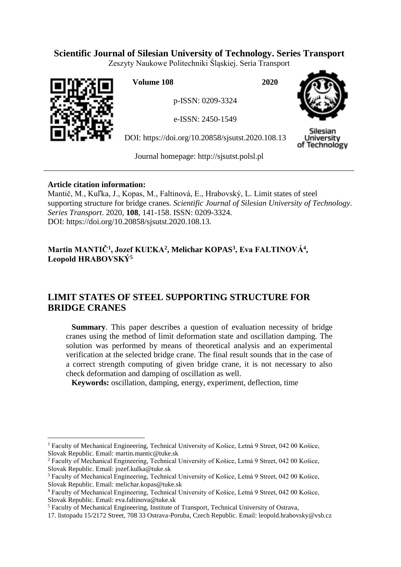# **Scientific Journal of Silesian University of Technology. Series Transport**

Zeszyty Naukowe Politechniki Śląskiej. Seria Transport



 $\overline{a}$ 

**Volume 108 2020**

p-ISSN: 0209-3324

e-ISSN: 2450-1549

DOI: https://doi.org/10.20858/sjsutst.2020.108.13



Silesian University of Technology

Journal homepage: [http://sjsutst.polsl.pl](http://sjsutst.polsl.pl/)

# **Article citation information:**

Mantič, M., Kuľka, J., Kopas, M., Faltinová, E., Hrabovský, L. Limit states of steel supporting structure for bridge cranes. *Scientific Journal of Silesian University of Technology. Series Transport*. 2020, **108**, 141-158. ISSN: 0209-3324. DOI: https://doi.org/10.20858/sjsutst.2020.108.13.

# **Martin MANTIČ<sup>1</sup> , Jozef KUĽKA<sup>2</sup> , Melichar KOPAS<sup>3</sup> , Eva FALTINOVÁ<sup>4</sup> , Leopold HRABOVSKÝ<sup>5</sup>**

# **LIMIT STATES OF STEEL SUPPORTING STRUCTURE FOR BRIDGE CRANES**

**Summary**. This paper describes a question of evaluation necessity of bridge cranes using the method of limit deformation state and oscillation damping. The solution was performed by means of theoretical analysis and an experimental verification at the selected bridge crane. The final result sounds that in the case of a correct strength computing of given bridge crane, it is not necessary to also check deformation and damping of oscillation as well.

**Keywords:** oscillation, damping, energy, experiment, deflection, time

<sup>1</sup> Faculty of Mechanical Engineering, Technical University of Košice, Letná 9 Street, 042 00 Košice, Slovak Republic. Email: [martin.mantic@tuke.sk](mailto:martin.mantic@tuke.sk)

<sup>2</sup> Faculty of Mechanical Engineering, Technical University of Košice, Letná 9 Street, 042 00 Košice, Slovak Republic. Email: [jozef.kulka@tuke.sk](mailto:jozef.kulka@tuke.sk)

<sup>3</sup> Faculty of Mechanical Engineering, Technical University of Košice, Letná 9 Street, 042 00 Košice, Slovak Republic. Email: [melichar.kopas@tuke.sk](mailto:melichar.kopas@tuke.sk)

<sup>4</sup> Faculty of Mechanical Engineering, Technical University of Košice, Letná 9 Street, 042 00 Košice, Slovak Republic. Email: [eva.faltinova@tuke.sk](mailto:eva.faltinova@tuke.sk)

<sup>5</sup> Faculty of Mechanical Engineering, Institute of Transport, Technical University of Ostrava,

<sup>17.</sup> listopadu 15/2172 Street, 708 33 Ostrava-Poruba, Czech Republic. Email: [leopold.hrabovsky@vsb.cz](mailto:leopold.hrabovsky@vsb.cz)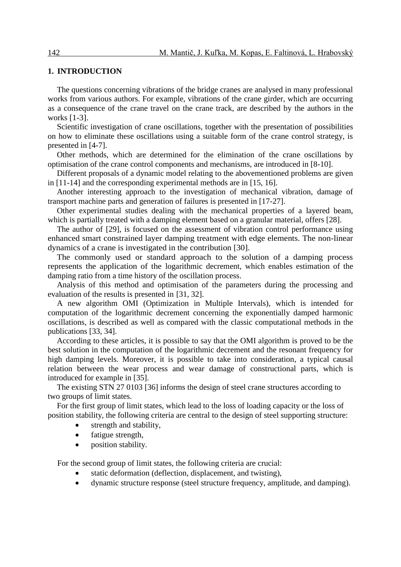### **1. INTRODUCTION**

The questions concerning vibrations of the bridge cranes are analysed in many professional works from various authors. For example, vibrations of the crane girder, which are occurring as a consequence of the crane travel on the crane track, are described by the authors in the works [1-3].

Scientific investigation of crane oscillations, together with the presentation of possibilities on how to eliminate these oscillations using a suitable form of the crane control strategy, is presented in [4-7].

Other methods, which are determined for the elimination of the crane oscillations by optimisation of the crane control components and mechanisms, are introduced in [8-10].

Different proposals of a dynamic model relating to the abovementioned problems are given in [11-14] and the corresponding experimental methods are in [15, 16].

Another interesting approach to the investigation of mechanical vibration, damage of transport machine parts and generation of failures is presented in [17-27].

Other experimental studies dealing with the mechanical properties of a layered beam, which is partially treated with a damping element based on a granular material, offers [28].

The author of [29], is focused on the assessment of vibration control performance using enhanced smart constrained layer damping treatment with edge elements. The non-linear dynamics of a crane is investigated in the contribution [30].

The commonly used or standard approach to the solution of a damping process represents the application of the logarithmic decrement, which enables estimation of the damping ratio from a time history of the oscillation process.

Analysis of this method and optimisation of the parameters during the processing and evaluation of the results is presented in [31, 32].

A new algorithm OMI (Optimization in Multiple Intervals), which is intended for computation of the logarithmic decrement concerning the exponentially damped harmonic oscillations, is described as well as compared with the classic computational methods in the publications [33, 34].

According to these articles, it is possible to say that the OMI algorithm is proved to be the best solution in the computation of the logarithmic decrement and the resonant frequency for high damping levels. Moreover, it is possible to take into consideration, a typical causal relation between the wear process and wear damage of constructional parts, which is introduced for example in [35].

The existing STN 27 0103 [36] informs the design of steel crane structures according to two groups of limit states.

For the first group of limit states, which lead to the loss of loading capacity or the loss of position stability, the following criteria are central to the design of steel supporting structure:

- strength and stability,
- fatigue strength,
- position stability.

For the second group of limit states, the following criteria are crucial:

- static deformation (deflection, displacement, and twisting),
- dynamic structure response (steel structure frequency, amplitude, and damping).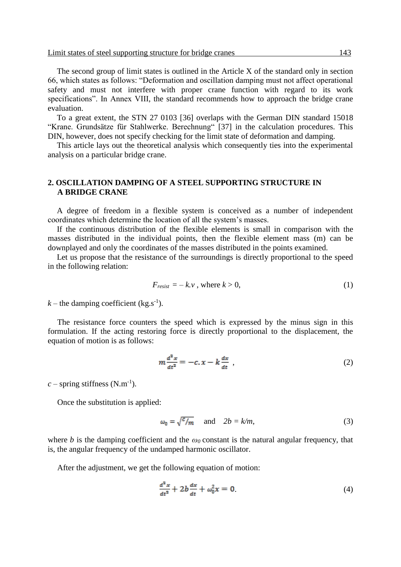The second group of limit states is outlined in the Article X of the standard only in section 66, which states as follows: "Deformation and oscillation damping must not affect operational safety and must not interfere with proper crane function with regard to its work specifications". In Annex VIII, the standard recommends how to approach the bridge crane evaluation.

To a great extent, the STN 27 0103 [36] overlaps with the German DIN standard 15018 "Krane. Grundsätze für Stahlwerke. Berechnung" [37] in the calculation procedures. This DIN, however, does not specify checking for the limit state of deformation and damping.

This article lays out the theoretical analysis which consequently ties into the experimental analysis on a particular bridge crane.

## **2. OSCILLATION DAMPING OF A STEEL SUPPORTING STRUCTURE IN A BRIDGE CRANE**

A degree of freedom in a flexible system is conceived as a number of independent coordinates which determine the location of all the system's masses.

If the continuous distribution of the flexible elements is small in comparison with the masses distributed in the individual points, then the flexible element mass (m) can be downplayed and only the coordinates of the masses distributed in the points examined.

Let us propose that the resistance of the surroundings is directly proportional to the speed in the following relation:

$$
F_{resist} = -k.v \text{ , where } k > 0,
$$
\n<sup>(1)</sup>

 $k$  – the damping coefficient (kg.s<sup>-1</sup>).

The resistance force counters the speed which is expressed by the minus sign in this formulation. If the acting restoring force is directly proportional to the displacement, the equation of motion is as follows:

$$
m\frac{d^2x}{dt^2} = -c \cdot x - k\frac{dx}{dt} \tag{2}
$$

 $c$  – spring stiffness (N.m<sup>-1</sup>).

Once the substitution is applied:

$$
\omega_0 = \sqrt{\frac{c}{m}} \quad \text{and} \quad 2b = k/m,\tag{3}
$$

where *b* is the damping coefficient and the  $\omega_0$  constant is the natural angular frequency, that is, the angular frequency of the undamped harmonic oscillator.

After the adjustment, we get the following equation of motion:

$$
\frac{d^2x}{dt^2} + 2b\frac{dx}{dt} + \omega_0^2 x = 0.
$$
 (4)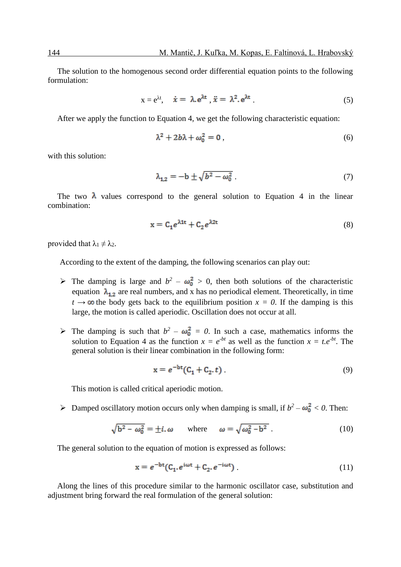The solution to the homogenous second order differential equation points to the following formulation:

$$
x = e^{\lambda t}, \quad \dot{x} = \lambda e^{\lambda t}, \quad \ddot{x} = \lambda^2 e^{\lambda t}.
$$
 (5)

After we apply the function to Equation 4, we get the following characteristic equation:

$$
\lambda^2 + 2b\lambda + \omega_0^2 = 0 \,, \tag{6}
$$

with this solution:

$$
\lambda_{1,2} = -\mathbf{b} \pm \sqrt{b^2 - \omega_0^2} \tag{7}
$$

The two  $\lambda$  values correspond to the general solution to Equation 4 in the linear combination:

$$
x = C_1 e^{\lambda 1t} + C_2 e^{\lambda 2t} \tag{8}
$$

provided that  $\lambda_1 \neq \lambda_2$ .

According to the extent of the damping, the following scenarios can play out:

- $\triangleright$  The damping is large and  $b^2 \omega_0^2 > 0$ , then both solutions of the characteristic equation  $\lambda_{1,2}$  are real numbers, and x has no periodical element. Theoretically, in time  $t \rightarrow \infty$  the body gets back to the equilibrium position  $x = 0$ . If the damping is this large, the motion is called aperiodic. Oscillation does not occur at all.
- $\triangleright$  The damping is such that  $b^2 \omega_0^2 = 0$ . In such a case, mathematics informs the solution to Equation 4 as the function  $x = e^{-bt}$  as well as the function  $x = t.e^{-bt}$ . The general solution is their linear combination in the following form:

$$
x = e^{-bt}(C_1 + C_2, t)
$$
 (9)

This motion is called critical aperiodic motion.

 $\triangleright$  Damped oscillatory motion occurs only when damping is small, if  $b^2 - \omega_0^2 < 0$ . Then:

$$
\sqrt{b^2 - \omega_0^2} = \pm i \, \omega \qquad \text{where} \qquad \omega = \sqrt{\omega_0^2 - b^2} \,. \tag{10}
$$

The general solution to the equation of motion is expressed as follows:

$$
x = e^{-bt}(C_1 \cdot e^{i\omega t} + C_2 \cdot e^{-i\omega t})
$$
\n(11)

Along the lines of this procedure similar to the harmonic oscillator case, substitution and adjustment bring forward the real formulation of the general solution: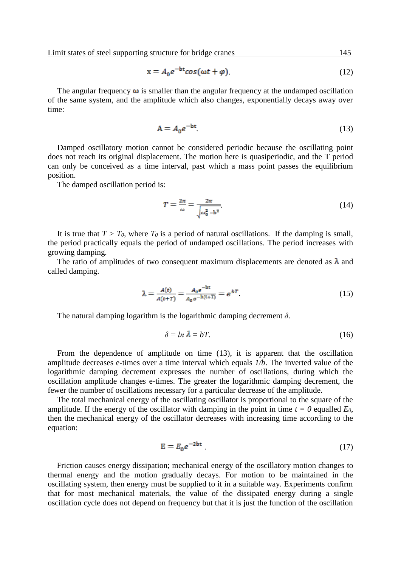$$
x = A_0 e^{-bt} \cos(\omega t + \varphi). \tag{12}
$$

The angular frequency  $\omega$  is smaller than the angular frequency at the undamped oscillation of the same system, and the amplitude which also changes, exponentially decays away over time:

$$
A = A_0 e^{-bt} \tag{13}
$$

Damped oscillatory motion cannot be considered periodic because the oscillating point does not reach its original displacement. The motion here is quasiperiodic, and the T period can only be conceived as a time interval, past which a mass point passes the equilibrium position.

The damped oscillation period is:

$$
T = \frac{2\pi}{\omega} = \frac{2\pi}{\sqrt{\omega_0^2 - b^2}}.\tag{14}
$$

It is true that  $T > T_0$ , where  $T_0$  is a period of natural oscillations. If the damping is small, the period practically equals the period of undamped oscillations. The period increases with growing damping.

The ratio of amplitudes of two consequent maximum displacements are denoted as  $\lambda$  and called damping.

$$
\lambda = \frac{A(t)}{A(t+T)} = \frac{A_0 e^{-bt}}{A_0 e^{-b(t+T)}} = e^{bT} \tag{15}
$$

The natural damping logarithm is the logarithmic damping decrement *δ*.

$$
\delta = \ln \lambda = bT. \tag{16}
$$

From the dependence of amplitude on time (13), it is apparent that the oscillation amplitude decreases e-times over a time interval which equals *1/b*. The inverted value of the logarithmic damping decrement expresses the number of oscillations, during which the oscillation amplitude changes e-times. The greater the logarithmic damping decrement, the fewer the number of oscillations necessary for a particular decrease of the amplitude.

The total mechanical energy of the oscillating oscillator is proportional to the square of the amplitude. If the energy of the oscillator with damping in the point in time  $t = 0$  equalled  $E_0$ , then the mechanical energy of the oscillator decreases with increasing time according to the equation:

$$
E = E_0 e^{-2bt} \tag{17}
$$

Friction causes energy dissipation; mechanical energy of the oscillatory motion changes to thermal energy and the motion gradually decays. For motion to be maintained in the oscillating system, then energy must be supplied to it in a suitable way. Experiments confirm that for most mechanical materials, the value of the dissipated energy during a single oscillation cycle does not depend on frequency but that it is just the function of the oscillation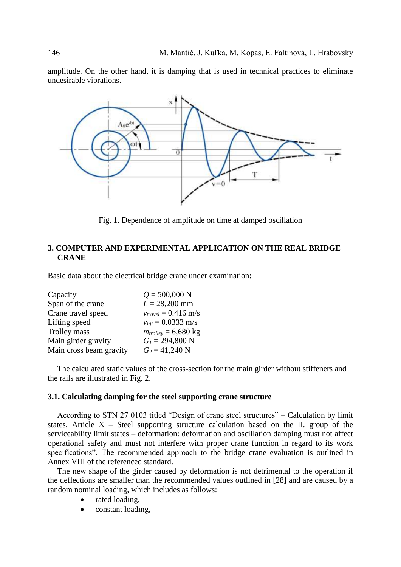amplitude. On the other hand, it is damping that is used in technical practices to eliminate undesirable vibrations.



Fig. 1. Dependence of amplitude on time at damped oscillation

## **3. COMPUTER AND EXPERIMENTAL APPLICATION ON THE REAL BRIDGE CRANE**

Basic data about the electrical bridge crane under examination:

| Capacity                | $Q = 500,000$ N                        |
|-------------------------|----------------------------------------|
| Span of the crane       | $L = 28,200$ mm                        |
| Crane travel speed      | $v_{travel} = 0.416$ m/s               |
| Lifting speed           | $v_{\text{lift}} = 0.0333 \text{ m/s}$ |
| Trolley mass            | $m_{trolley} = 6,680$ kg               |
| Main girder gravity     | $G_l = 294,800$ N                      |
| Main cross beam gravity | $G_2 = 41,240$ N                       |

The calculated static values of the cross-section for the main girder without stiffeners and the rails are illustrated in Fig. 2.

#### **3.1. Calculating damping for the steel supporting crane structure**

According to STN 27 0103 titled "Design of crane steel structures" – Calculation by limit states, Article  $X -$  Steel supporting structure calculation based on the II. group of the serviceability limit states – deformation: deformation and oscillation damping must not affect operational safety and must not interfere with proper crane function in regard to its work specifications". The recommended approach to the bridge crane evaluation is outlined in Annex VIII of the referenced standard.

The new shape of the girder caused by deformation is not detrimental to the operation if the deflections are smaller than the recommended values outlined in [28] and are caused by a random nominal loading, which includes as follows:

- rated loading,
- constant loading,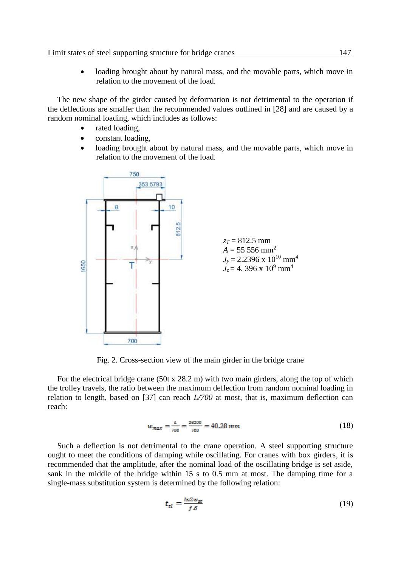loading brought about by natural mass, and the movable parts, which move in relation to the movement of the load.

The new shape of the girder caused by deformation is not detrimental to the operation if the deflections are smaller than the recommended values outlined in [28] and are caused by a random nominal loading, which includes as follows:

- rated loading,
- constant loading,
- loading brought about by natural mass, and the movable parts, which move in relation to the movement of the load.



Fig. 2. Cross-section view of the main girder in the bridge crane

For the electrical bridge crane (50t x 28.2 m) with two main girders, along the top of which the trolley travels, the ratio between the maximum deflection from random nominal loading in relation to length, based on [37] can reach *L/700* at most, that is, maximum deflection can reach:

$$
w_{max} = \frac{L}{700} = \frac{28200}{700} = 40.28 \, mm \tag{18}
$$

Such a deflection is not detrimental to the crane operation. A steel supporting structure ought to meet the conditions of damping while oscillating. For cranes with box girders, it is recommended that the amplitude, after the nominal load of the oscillating bridge is set aside, sank in the middle of the bridge within 15 s to 0.5 mm at most. The damping time for a single-mass substitution system is determined by the following relation:

$$
t_{tl} = \frac{ln2w_{st}}{f.\delta} \tag{19}
$$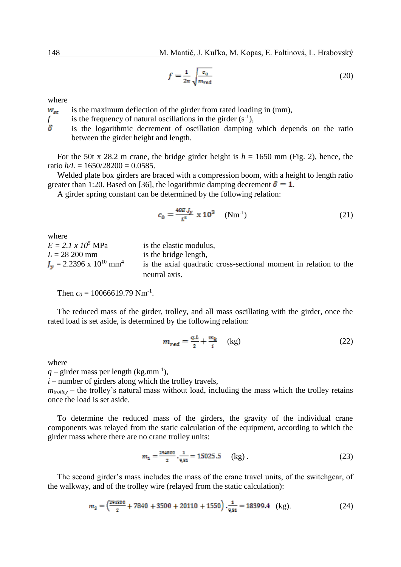$$
f = \frac{1}{2\pi} \sqrt{\frac{c_0}{m_{\text{red}}}}\tag{20}
$$

where

is the maximum deflection of the girder from rated loading in (mm),  $W_{st}$ 

*f* is the frequency of natural oscillations in the girder  $(s^{-1})$ ,

is the logarithmic decrement of oscillation damping which depends on the ratio between the girder height and length.

For the 50t x 28.2 m crane, the bridge girder height is  $h = 1650$  mm (Fig. 2), hence, the ratio  $h/L = 1650/28200 = 0.0585$ .

Welded plate box girders are braced with a compression boom, with a height to length ratio greater than 1:20. Based on [36], the logarithmic damping decrement  $\delta = 1$ .

A girder spring constant can be determined by the following relation:

$$
c_0 = \frac{48E \, J_y}{L^8} \times 10^3 \quad (\text{Nm}^{-1}) \tag{21}
$$

where  $E = 2.1 x 10<sup>5</sup> MPa$  is the elastic modulus,  $L = 28200$  mm is the bridge length,  $J_v = 2.2396 \times 10^{10}$  mm<sup>4</sup> is the axial quadratic cross-sectional moment in relation to the neutral axis.

Then  $c_0 = 10066619.79$  Nm<sup>-1</sup>.

The reduced mass of the girder, trolley, and all mass oscillating with the girder, once the rated load is set aside, is determined by the following relation:

$$
m_{red} = \frac{qL}{2} + \frac{m_k}{i} \quad \text{(kg)}\tag{22}
$$

where

 $q$  – girder mass per length (kg.mm<sup>-1</sup>),

 $i$  – number of girders along which the trolley travels,

 $m_{trollev}$  – the trolley's natural mass without load, including the mass which the trolley retains once the load is set aside.

To determine the reduced mass of the girders, the gravity of the individual crane components was relayed from the static calculation of the equipment, according to which the girder mass where there are no crane trolley units:

$$
m_1 = \frac{294800}{2} \cdot \frac{1}{9,81} = 15025.5 \quad \text{(kg)}\,. \tag{23}
$$

The second girder's mass includes the mass of the crane travel units, of the switchgear, of the walkway, and of the trolley wire (relayed from the static calculation):

$$
m_2 = \left(\frac{294800}{2} + 7840 + 3500 + 20110 + 1550\right) \cdot \frac{1}{9,81} = 18399.4 \quad \text{(kg)}.\tag{24}
$$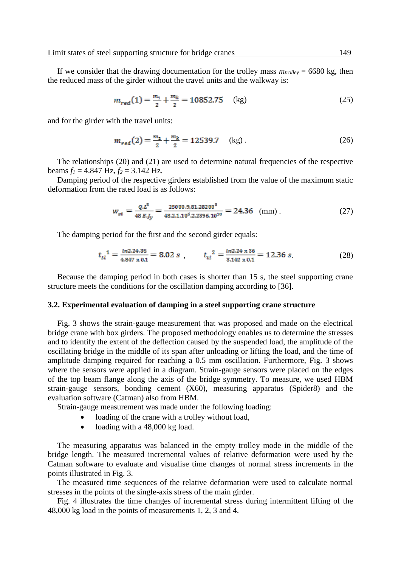If we consider that the drawing documentation for the trolley mass  $m_{trollev} = 6680$  kg, then the reduced mass of the girder without the travel units and the walkway is:

$$
m_{red}(1) = \frac{m_1}{2} + \frac{m_k}{2} = 10852.75 \quad \text{(kg)}\tag{25}
$$

and for the girder with the travel units:

$$
m_{red}(2) = \frac{m_2}{2} + \frac{m_k}{2} = 12539.7 \quad \text{(kg)}\,. \tag{26}
$$

The relationships (20) and (21) are used to determine natural frequencies of the respective beams  $f_1 = 4.847$  Hz,  $f_2 = 3.142$  Hz.

Damping period of the respective girders established from the value of the maximum static deformation from the rated load is as follows:

$$
w_{st} = \frac{Q.L^3}{48 E J_y} = \frac{25000.981.28200^3}{48.2.110^5.2.2396.10^{10}} = 24.36 \text{ (mm)}.
$$
 (27)

The damping period for the first and the second girder equals:

$$
t_{tl}^{1} = \frac{\ln 2.24.36}{4.847 \times 0.1} = 8.02 s , \qquad t_{tl}^{2} = \frac{\ln 2.24 \times 36}{3.142 \times 0.1} = 12.36 s.
$$
 (28)

Because the damping period in both cases is shorter than 15 s, the steel supporting crane structure meets the conditions for the oscillation damping according to [36].

#### **3.2. Experimental evaluation of damping in a steel supporting crane structure**

Fig. 3 shows the strain-gauge measurement that was proposed and made on the electrical bridge crane with box girders. The proposed methodology enables us to determine the stresses and to identify the extent of the deflection caused by the suspended load, the amplitude of the oscillating bridge in the middle of its span after unloading or lifting the load, and the time of amplitude damping required for reaching a 0.5 mm oscillation. Furthermore, Fig. 3 shows where the sensors were applied in a diagram. Strain-gauge sensors were placed on the edges of the top beam flange along the axis of the bridge symmetry. To measure, we used HBM strain-gauge sensors, bonding cement (X60), measuring apparatus (Spider8) and the evaluation software (Catman) also from HBM.

Strain-gauge measurement was made under the following loading:

- loading of the crane with a trolley without load,
- loading with a 48,000 kg load.

The measuring apparatus was balanced in the empty trolley mode in the middle of the bridge length. The measured incremental values of relative deformation were used by the Catman software to evaluate and visualise time changes of normal stress increments in the points illustrated in Fig. 3.

The measured time sequences of the relative deformation were used to calculate normal stresses in the points of the single-axis stress of the main girder.

Fig. 4 illustrates the time changes of incremental stress during intermittent lifting of the 48,000 kg load in the points of measurements 1, 2, 3 and 4.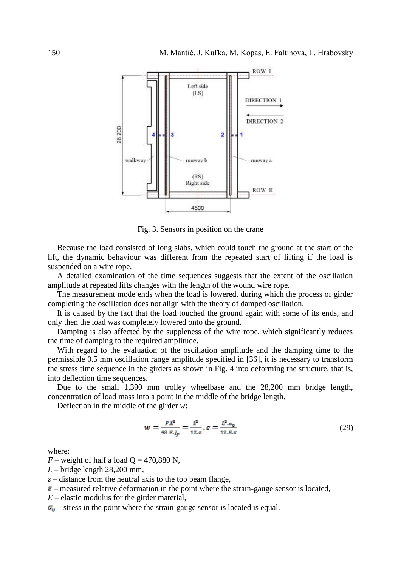

Fig. 3. Sensors in position on the crane

Because the load consisted of long slabs, which could touch the ground at the start of the lift, the dynamic behaviour was different from the repeated start of lifting if the load is suspended on a wire rope.

A detailed examination of the time sequences suggests that the extent of the oscillation amplitude at repeated lifts changes with the length of the wound wire rope.

The measurement mode ends when the load is lowered, during which the process of girder completing the oscillation does not align with the theory of damped oscillation.

It is caused by the fact that the load touched the ground again with some of its ends, and only then the load was completely lowered onto the ground.

Damping is also affected by the suppleness of the wire rope, which significantly reduces the time of damping to the required amplitude.

With regard to the evaluation of the oscillation amplitude and the damping time to the permissible 0.5 mm oscillation range amplitude specified in [36], it is necessary to transform the stress time sequence in the girders as shown in Fig. 4 into deforming the structure, that is, into deflection time sequences.

Due to the small 1,390 mm trolley wheelbase and the 28,200 mm bridge length, concentration of load mass into a point in the middle of the bridge length.

Deflection in the middle of the girder *w*:

$$
w = \frac{FL^3}{48 E J_y} = \frac{L^2}{12. z} \cdot \varepsilon = \frac{L^2 \cdot \sigma_0}{12. E z} \tag{29}
$$

where:

 $F$  – weight of half a load  $Q = 470,880$  N,

- *L* bridge length 28,200 mm,
- *z* distance from the neutral axis to the top beam flange,
- $\varepsilon$  measured relative deformation in the point where the strain-gauge sensor is located,
- *E* elastic modulus for the girder material,
- $\sigma_0$  stress in the point where the strain-gauge sensor is located is equal.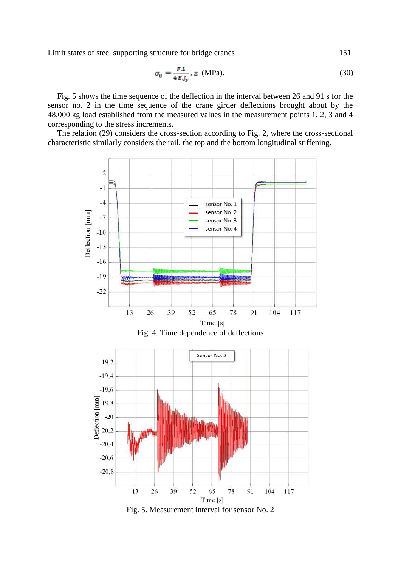Limit states of steel supporting structure for bridge cranes 151.

$$
\sigma_0 = \frac{FL}{4 \, E \, J_y} \cdot z \quad \text{(MPa)}.
$$
\n<sup>(30)</sup>

Fig. 5 shows the time sequence of the deflection in the interval between 26 and 91 s for the sensor no. 2 in the time sequence of the crane girder deflections brought about by the 48,000 kg load established from the measured values in the measurement points 1, 2, 3 and 4 corresponding to the stress increments.

The relation (29) considers the cross-section according to Fig. 2, where the cross-sectional characteristic similarly considers the rail, the top and the bottom longitudinal stiffening.

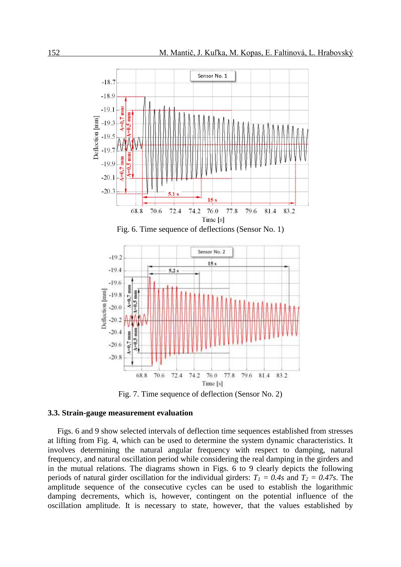





Fig. 7. Time sequence of deflection (Sensor No. 2)

#### **3.3. Strain-gauge measurement evaluation**

Figs. 6 and 9 show selected intervals of deflection time sequences established from stresses at lifting from Fig. 4, which can be used to determine the system dynamic characteristics. It involves determining the natural angular frequency with respect to damping, natural frequency, and natural oscillation period while considering the real damping in the girders and in the mutual relations. The diagrams shown in Figs. 6 to 9 clearly depicts the following periods of natural girder oscillation for the individual girders:  $T_1 = 0.4s$  and  $T_2 = 0.47s$ . The amplitude sequence of the consecutive cycles can be used to establish the logarithmic damping decrements, which is, however, contingent on the potential influence of the oscillation amplitude. It is necessary to state, however, that the values established by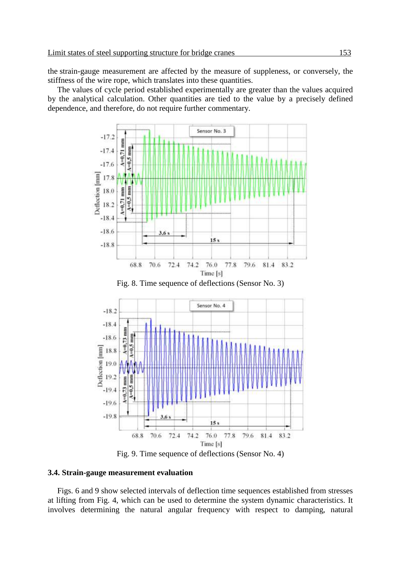the strain-gauge measurement are affected by the measure of suppleness, or conversely, the stiffness of the wire rope, which translates into these quantities.

The values of cycle period established experimentally are greater than the values acquired by the analytical calculation. Other quantities are tied to the value by a precisely defined dependence, and therefore, do not require further commentary.



Fig. 9. Time sequence of deflections (Sensor No. 4)

#### **3.4. Strain-gauge measurement evaluation**

Figs. 6 and 9 show selected intervals of deflection time sequences established from stresses at lifting from Fig. 4, which can be used to determine the system dynamic characteristics. It involves determining the natural angular frequency with respect to damping, natural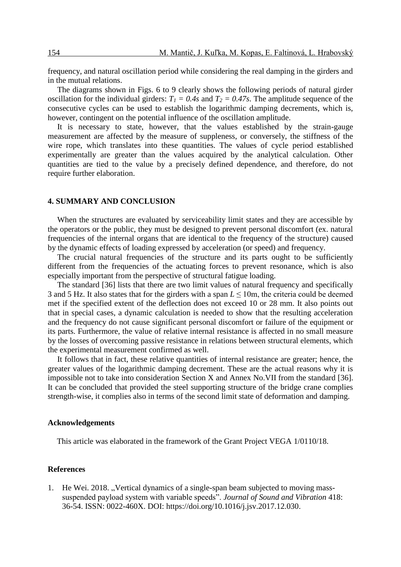frequency, and natural oscillation period while considering the real damping in the girders and in the mutual relations.

The diagrams shown in Figs. 6 to 9 clearly shows the following periods of natural girder oscillation for the individual girders:  $T_1 = 0.4s$  and  $T_2 = 0.47s$ . The amplitude sequence of the consecutive cycles can be used to establish the logarithmic damping decrements, which is, however, contingent on the potential influence of the oscillation amplitude.

It is necessary to state, however, that the values established by the strain-gauge measurement are affected by the measure of suppleness, or conversely, the stiffness of the wire rope, which translates into these quantities. The values of cycle period established experimentally are greater than the values acquired by the analytical calculation. Other quantities are tied to the value by a precisely defined dependence, and therefore, do not require further elaboration.

#### **4. SUMMARY AND CONCLUSION**

When the structures are evaluated by serviceability limit states and they are accessible by the operators or the public, they must be designed to prevent personal discomfort (ex. natural frequencies of the internal organs that are identical to the frequency of the structure) caused by the dynamic effects of loading expressed by acceleration (or speed) and frequency.

The crucial natural frequencies of the structure and its parts ought to be sufficiently different from the frequencies of the actuating forces to prevent resonance, which is also especially important from the perspective of structural fatigue loading.

The standard [36] lists that there are two limit values of natural frequency and specifically 3 and 5 Hz. It also states that for the girders with a span *L* ≤ 10m, the criteria could be deemed met if the specified extent of the deflection does not exceed 10 or 28 mm. It also points out that in special cases, a dynamic calculation is needed to show that the resulting acceleration and the frequency do not cause significant personal discomfort or failure of the equipment or its parts. Furthermore, the value of relative internal resistance is affected in no small measure by the losses of overcoming passive resistance in relations between structural elements, which the experimental measurement confirmed as well.

It follows that in fact, these relative quantities of internal resistance are greater; hence, the greater values of the logarithmic damping decrement. These are the actual reasons why it is impossible not to take into consideration Section X and Annex No.VII from the standard [36]. It can be concluded that provided the steel supporting structure of the bridge crane complies strength-wise, it complies also in terms of the second limit state of deformation and damping.

#### **Acknowledgements**

This article was elaborated in the framework of the Grant Project VEGA 1/0110/18.

#### **References**

1. He Wei. 2018. "Vertical dynamics of a single-span beam subjected to moving masssuspended payload system with variable speeds". *Journal of Sound and Vibration* 418: 36-54. ISSN: 0022-460X. DOI: [https://doi.org/10.1016/j.jsv.2017.12.030.](https://doi.org/10.1016/j.jsv.2017.12.030)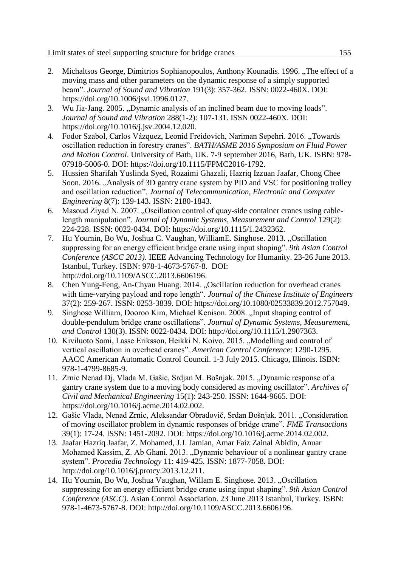- 2. Michaltsos George, Dimitrios Sophianopoulos, Anthony Kounadis. 1996. "The effect of a moving mass and other parameters on the dynamic response of a simply supported beam". *Journal of Sound and Vibration* 191(3): 357-362. ISSN: 0022-460X. DOI: [https://doi.org/10.1006/jsvi.1996.0127.](https://doi.org/10.1006/jsvi.1996.0127%20.)
- 3. Wu Jia-Jang. 2005. "Dynamic analysis of an inclined beam due to moving loads". *Journal of Sound and Vibration* 288(1-2): 107-131. ISSN 0022-460X. DOI: [https://doi.org/10.1016/j.jsv.2004.12.020.](https://doi.org/10.1016/j.jsv.2004.12.020)
- 4. Fodor Szabol, Carlos Vázquez, Leonid Freidovich, Nariman Sepehri. 2016. "Towards oscillation reduction in forestry cranes". *BATH/ASME 2016 Symposium on Fluid Power and Motion Control*. University of Bath, UK. 7-9 september 2016, Bath, UK. ISBN: 978- 07918-5006-0. DOI: [https://doi.org/10.1115/FPMC2016-1792.](https://doi.org/10.1115/FPMC2016-1792)
- 5. Hussien Sharifah Yuslinda Syed, Rozaimi Ghazali, Hazriq Izzuan Jaafar, Chong Chee Soon. 2016. "Analysis of 3D gantry crane system by PID and VSC for positioning trolley and oscillation reduction". *Journal of Telecommunication, Electronic and Computer Engineering* 8(7): 139-143. ISSN: 2180-1843.
- 6. Masoud Ziyad N. 2007. "Oscillation control of quay-side container cranes using cablelength manipulation". *Journal of Dynamic Systems, Measurement and Control* 129(2): 224-228. ISSN: 0022-0434. DOI: [https://doi.org/10.1115/1.2432362.](https://doi.org/10.1115/1.2432362)
- 7. Hu Youmin, Bo Wu, Joshua C. Vaughan, WilliamE. Singhose. 2013. "Oscillation suppressing for an energy efficient bridge crane using input shaping". *9th Asian Control Conference (ASCC 2013)*. IEEE Advancing Technology for Humanity. 23-26 June 2013. Istanbul, Turkey. ISBN: 978-1-4673-5767-8. DOI: [http://doi.org/10.1109/ASCC.2013.6606196.](http://doi.org/10.1109/ASCC.2013.6606196)
- 8. Chen Yung-Feng, [An-Chyau Huang.](https://www.tandfonline.com/author/Huang%2C+An-Chyau) 2014. "Oscillation reduction for overhead cranes with time-varying payload and rope length". *Journal of the Chinese Institute of Engineers*  37(2): 259-267. ISSN: 0253-3839. DOI: [https://doi.org/10.1080/02533839.2012.757049.](https://doi.org/10.1080/02533839.2012.757049)
- 9. Singhose William, Dooroo Kim, Michael Kenison. 2008. "Input shaping control of double-pendulum bridge crane oscillations". *Journal of Dynamic Systems, Measurement, and Control* 130(3). ISSN: 0022-0434. DOI: [http://doi.org/10.1115/1.2907363.](http://doi.org/10.1115/1.2907363)
- 10. Kiviluoto Sami, Lasse Eriksson, Heikki N. Koivo. 2015. "Modelling and control of vertical oscillation in overhead cranes". *American Control Conference*: 1290-1295. AACC American Automatic Control Council. 1-3 July 2015. Chicago, Illinois. ISBN: 978-1-4799-8685-9.
- 11. Zrnic Nenad Dj, Vlada M. Gašic, Srdjan M. Bošnjak. 2015. "Dynamic response of a gantry crane system due to a moving body considered as moving oscillator". *Archives of Civil and Mechanical Engineering* 15(1): 243-250. ISSN: 1644-9665. DOI: [https://doi.org/10.1016/j.acme.2014.02.002.](https://doi.org/10.1016/j.acme.2014.02.002)
- 12. Gašic Vlada, Nenad Zrnic, Aleksandar Obradovič, Srdan Bošnjak. 2011. "Consideration of moving oscillator problem in dynamic responses of bridge crane". *FME Transactions* 39(1): 17-24. ISSN: 1451-2092. DOI: [https://doi.org/10.1016/j.acme.2014.02.002.](https://doi.org/10.1016/j.acme.2014.02.002)
- 13. Jaafar Hazriq Jaafar, Z. Mohamed, J.J. Jamian, Amar Faiz Zainal Abidin, Anuar Mohamed Kassim, Z. Ab Ghani. 2013. "Dynamic behaviour of a nonlinear gantry crane system". *Procedia Technology* 11: 419-425. ISSN: 1877-7058. DOI: [http://doi.org/10.1016/j.protcy.2013.12.211.](http://doi.org/10.1016/j.protcy.2013.12.211)
- 14. Hu Youmin, Bo Wu, Joshua Vaughan, Willam E. Singhose. 2013. "Oscillation suppressing for an energy efficient bridge crane using input shaping". *9th Asian Control Conference (ASCC)*. Asian Control Association. 23 June 2013 Istanbul, Turkey. ISBN: 978-1-4673-5767-8. DOI: [http://doi.org/10.1109/ASCC.2013.6606196.](http://doi.org/10.1109/ASCC.2013.6606196)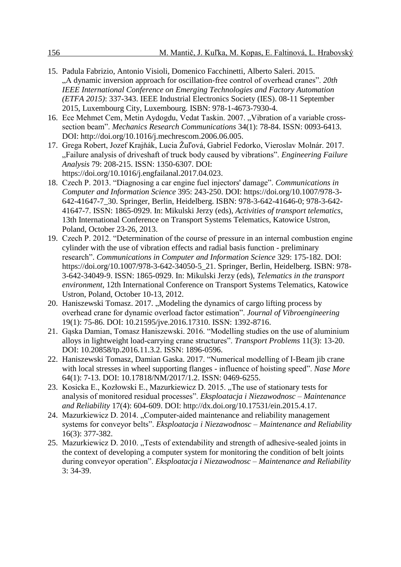- 15. Padula Fabrizio, Antonio Visioli, Domenico Facchinetti, Alberto Saleri. 2015. "A dynamic inversion approach for oscillation-free control of overhead cranes". *20th IEEE International Conference on Emerging Technologies and Factory Automation (ETFA 2015)*: 337-343. IEEE Industrial Electronics Society (IES). 08-11 September 2015, Luxembourg City, Luxembourg. ISBN: 978-1-4673-7930-4.
- 16. Ece Mehmet Cem, Metin Aydogdu, Vedat Taskin. 2007. "Vibration of a variable crosssection beam". *Mechanics Research Communications* 34(1): 78-84. ISSN: 0093-6413. DOI: [http://doi.org/10.1016/j.mechrescom.2006.06.005.](http://doi.org/10.1016/j.mechrescom.2006.06.005)
- 17. Grega Robert, Jozef Krajňák, Lucia Žuľová, Gabriel Fedorko, Vieroslav Molnár. 2017. "Failure analysis of driveshaft of truck body caused by vibrations". *Engineering Failure Analysis* 79: 208-215. ISSN: 1350-6307. DOI: [https://doi.org/10.1016/j.engfailanal.2017.04.023.](https://doi.org/10.1016/j.engfailanal.2017.04.023)
- 18. Czech P. 2013. "Diagnosing a car engine fuel injectors' damage". *Communications in Computer and Information Science* 395: 243-250. DOI: https://doi.org/10.1007/978-3- 642-41647-7\_30. Springer, Berlin, Heidelberg. ISBN: 978-3-642-41646-0; 978-3-642- 41647-7. ISSN: 1865-0929. In: Mikulski Jerzy (eds), *Activities of transport telematics*, 13th International Conference on Transport Systems Telematics, Katowice Ustron, Poland, October 23-26, 2013.
- 19. Czech P. 2012. "Determination of the course of pressure in an internal combustion engine cylinder with the use of vibration effects and radial basis function - preliminary research". *Communications in Computer and Information Science* 329: 175-182. DOI: https://doi.org/10.1007/978-3-642-34050-5\_21. Springer, Berlin, Heidelberg. ISBN: 978- 3-642-34049-9. ISSN: 1865-0929. In: Mikulski Jerzy (eds), *Telematics in the transport environment*, 12th International Conference on Transport Systems Telematics, Katowice Ustron, Poland, October 10-13, 2012.
- 20. Haniszewski Tomasz. 2017. "Modeling the dynamics of cargo lifting process by overhead crane for dynamic overload factor estimation". *Journal of Vibroengineering* 19(1): 75-86. DOI: 10.21595/jve.2016.17310. ISSN: 1392-8716.
- 21. Gąska Damian, Tomasz Haniszewski. 2016. "Modelling studies on the use of aluminium alloys in lightweight load-carrying crane structures". *Transport Problems* 11(3): 13-20. DOI: 10.20858/tp.2016.11.3.2. ISSN: 1896-0596.
- 22. Haniszewski Tomasz, Damian Gaska. 2017. "Numerical modelling of I-Beam jib crane with local stresses in wheel supporting flanges - influence of hoisting speed". *Nase More* 64(1): 7-13. DOI: 10.17818/NM/2017/1.2. ISSN: 0469-6255.
- 23. Kosicka E., Kozłowski E., Mazurkiewicz D. 2015. "The use of stationary tests for analysis of monitored residual processes". *Eksploatacja i Niezawodnosc – Maintenance and Reliability* 17(4): 604-609. DOI: http://dx.doi.org/10.17531/ein.2015.4.17.
- 24. Mazurkiewicz D. 2014. "Computer-aided maintenance and reliability management systems for conveyor belts". *Eksploatacja i Niezawodnosc – Maintenance and Reliability* 16(3): 377-382.
- 25. Mazurkiewicz D. 2010. "Tests of extendability and strength of adhesive-sealed joints in the context of developing a computer system for monitoring the condition of belt joints during conveyor operation". *Eksploatacja i Niezawodnosc – Maintenance and Reliability* 3: 34-39.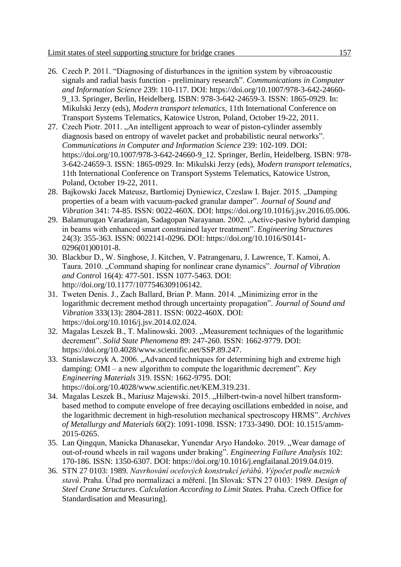- 26. Czech P. 2011. "Diagnosing of disturbances in the ignition system by vibroacoustic signals and radial basis function - preliminary research". *Communications in Computer and Information Science* 239: 110-117. DOI: https://doi.org/10.1007/978-3-642-24660- 9\_13. Springer, Berlin, Heidelberg. ISBN: 978-3-642-24659-3. ISSN: 1865-0929. In: Mikulski Jerzy (eds), *Modern transport telematics*, 11th International Conference on Transport Systems Telematics, Katowice Ustron, Poland, October 19-22, 2011.
- 27. Czech Piotr. 2011. "An intelligent approach to wear of piston-cylinder assembly diagnosis based on entropy of wavelet packet and probabilistic neural networks". *Communications in Computer and Information Science* 239: 102-109. DOI: https://doi.org/10.1007/978-3-642-24660-9\_12. Springer, Berlin, Heidelberg. ISBN: 978- 3-642-24659-3. ISSN: 1865-0929. In: Mikulski Jerzy (eds), *Modern transport telematics*, 11th International Conference on Transport Systems Telematics, Katowice Ustron, Poland, October 19-22, 2011.
- 28. Bajkowski Jacek Mateusz, Bartlomiej Dyniewicz, Czeslaw I. Bajer. 2015. "Damping properties of a beam with vacuum-packed granular damper". *Journal of Sound and Vibration* 341: 74-85. ISSN: 0022-460X. DOI: [https://doi.org/10.1016/j.jsv.2016.05.006.](https://doi.org/10.1016/j.jsv.2016.05.006)
- 29. Balamurugan Varadarajan, Sadagopan Narayanan. 2002. "Active-pasive hybrid damping in beams with enhanced smart constrained layer treatment". *Engineering Structures*  24(3): 355-363. ISSN: 0022141-0296. DOI: [https://doi.org/10.1016/S0141-](https://doi.org/10.1016/S0141-0296(01)00101-8) [0296\(01\)00101-8.](https://doi.org/10.1016/S0141-0296(01)00101-8)
- 30. Blackbur D., W. Singhose, J. Kitchen, V. Patrangenaru, J. Lawrence, T. Kamoi, A. Taura. 2010. "Command shaping for nonlinear crane dynamics". *Journal of Vibration and Contro*l 16(4): 477-501. ISSN 1077-5463. DOI: [http://doi.org/10.1177/1077546309106142.](http://doi.org/10.1177/1077546309106142)
- 31. Tweten Denis. J., Zach Ballard, Brian P. Mann. 2014. "Minimizing error in the logarithmic decrement method through uncertainty propagation". *Journal of Sound and Vibration* 333(13): 2804-2811. ISSN: 0022-460X. DOI: [https://doi.org/10.1016/j.jsv.2014.02.024.](https://doi.org/10.1016/j.jsv.2014.02.024)
- 32. Magalas Leszek B., T. Malinowski. 2003. "Measurement techniques of the logarithmic decrement". *Solid State Phenomena* 89: 247-260. ISSN: 1662-9779. DOI: [https://doi.org/10.4028/www.scientific.net/SSP.89.247.](https://doi.org/10.4028/www.scientific.net/SSP.89.247)
- 33. Stanislawczyk A. 2006. "Advanced techniques for determining high and extreme high damping: OMI – a new algorithm to compute the logarithmic decrement". *Key Engineering Materials* 319. ISSN: 1662-9795. DOI: [https://doi.org/10.4028/www.scientific.net/KEM.319.231.](https://doi.org/10.4028/www.scientific.net/KEM.319.231)
- 34. Magalas Leszek B., Mariusz Majewski. 2015. "Hilbert-twin-a novel hilbert transformbased method to compute envelope of free decaying oscillations embedded in noise, and the logarithmic decrement in high-resolution mechanical spectroscopy HRMS". *Archives of Metallurgy and Materials* 60(2): 1091-1098. ISSN: 1733-3490. DOI: [10.1515/amm-](https://doi.org/10.1515/amm-2015-0265)[2015-0265.](https://doi.org/10.1515/amm-2015-0265)
- 35. Lan Qingqun, Manicka Dhanasekar, Yunendar Aryo Handoko. 2019. "Wear damage of out-of-round wheels in rail wagons under braking". *Engineering Failure Analysis* 102: 170-186. ISSN: 1350-6307. DOI: [https://doi.org/10.1016/j.engfailanal.2019.04.019.](https://doi.org/10.1016/j.engfailanal.2019.04.019)
- 36. STN 27 0103: 1989. *Navrhování ocelových konstrukcí jeřábů*. *Výpočet podle mezních stavů*. Praha. Úřad pro normalizaci a měření. [In Slovak: STN 27 0103: 1989. *Design of Steel Crane Structures*. *Calculation According to Limit States.* Praha. Czech Office for Standardisation and Measuring].